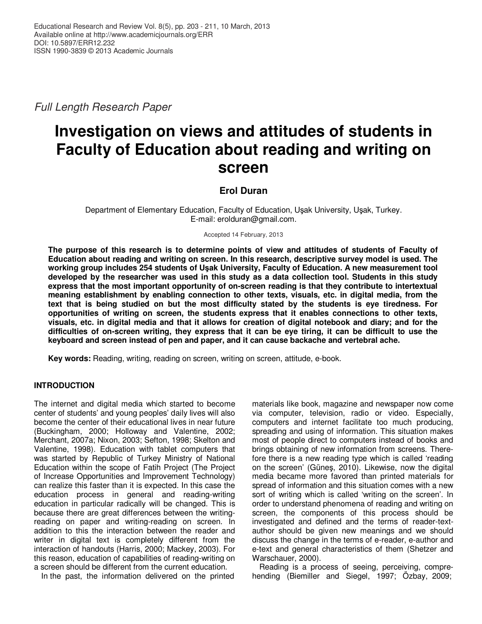Full Length Research Paper

# **Investigation on views and attitudes of students in Faculty of Education about reading and writing on screen**

# **Erol Duran**

Department of Elementary Education, Faculty of Education, Uşak University, Uşak, Turkey. E-mail: erolduran@gmail.com.

Accepted 14 February, 2013

**The purpose of this research is to determine points of view and attitudes of students of Faculty of Education about reading and writing on screen. In this research, descriptive survey model is used. The working group includes 254 students of Uşak University, Faculty of Education. A new measurement tool developed by the researcher was used in this study as a data collection tool. Students in this study express that the most important opportunity of on-screen reading is that they contribute to intertextual meaning establishment by enabling connection to other texts, visuals, etc. in digital media, from the text that is being studied on but the most difficulty stated by the students is eye tiredness. For opportunities of writing on screen, the students express that it enables connections to other texts, visuals, etc. in digital media and that it allows for creation of digital notebook and diary; and for the difficulties of on-screen writing, they express that it can be eye tiring, it can be difficult to use the keyboard and screen instead of pen and paper, and it can cause backache and vertebral ache.** 

**Key words:** Reading, writing, reading on screen, writing on screen, attitude, e-book.

# **INTRODUCTION**

The internet and digital media which started to become center of students' and young peoples' daily lives will also become the center of their educational lives in near future (Buckingham, 2000; Holloway and Valentine, 2002; Merchant, 2007a; Nixon, 2003; Sefton, 1998; Skelton and Valentine, 1998). Education with tablet computers that was started by Republic of Turkey Ministry of National Education within the scope of Fatih Project (The Project of Increase Opportunities and Improvement Technology) can realize this faster than it is expected. In this case the education process in general and reading-writing education in particular radically will be changed. This is because there are great differences between the writingreading on paper and writing-reading on screen. In addition to this the interaction between the reader and writer in digital text is completely different from the interaction of handouts (Harris, 2000; Mackey, 2003). For this reason, education of capabilities of reading-writing on a screen should be different from the current education.

In the past, the information delivered on the printed

materials like book, magazine and newspaper now come via computer, television, radio or video. Especially, computers and internet facilitate too much producing, spreading and using of information. This situation makes most of people direct to computers instead of books and brings obtaining of new information from screens. Therefore there is a new reading type which is called 'reading on the screen' (Güneş, 2010). Likewise, now the digital media became more favored than printed materials for spread of information and this situation comes with a new sort of writing which is called 'writing on the screen'. In order to understand phenomena of reading and writing on screen, the components of this process should be investigated and defined and the terms of reader-textauthor should be given new meanings and we should discuss the change in the terms of e-reader, e-author and e-text and general characteristics of them (Shetzer and Warschauer, 2000).

Reading is a process of seeing, perceiving, comprehending (Biemiller and Siegel, 1997; Özbay, 2009;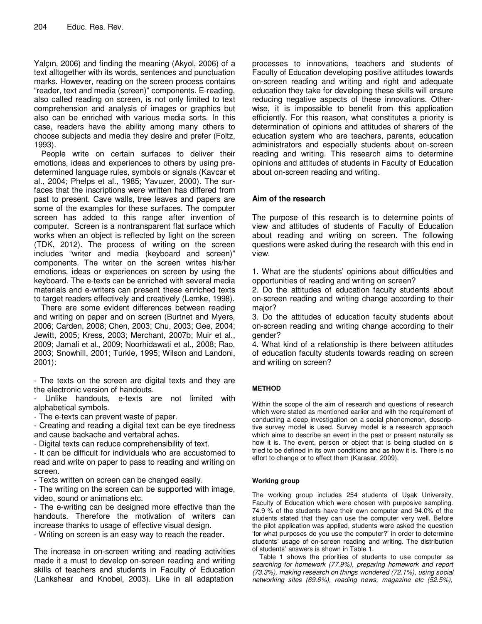Yalçın, 2006) and finding the meaning (Akyol, 2006) of a text alltogether with its words, sentences and punctuation marks. However, reading on the screen process contains "reader, text and media (screen)" components. E-reading, also called reading on screen, is not only limited to text comprehension and analysis of images or graphics but also can be enriched with various media sorts. In this case, readers have the ability among many others to choose subjects and media they desire and prefer (Foltz, 1993).

People write on certain surfaces to deliver their emotions, ideas and experiences to others by using predetermined language rules, symbols or signals (Kavcar et al., 2004; Phelps et al., 1985; Yavuzer, 2000). The surfaces that the inscriptions were written has differed from past to present. Cave walls, tree leaves and papers are some of the examples for these surfaces. The computer screen has added to this range after invention of computer. Screen is a nontransparent flat surface which works when an object is reflected by light on the screen (TDK, 2012). The process of writing on the screen includes "writer and media (keyboard and screen)" components. The writer on the screen writes his/her emotions, ideas or experiences on screen by using the keyboard. The e-texts can be enriched with several media materials and e-writers can present these enriched texts to target readers effectively and creatively (Lemke, 1998).

There are some evident differences between reading and writing on paper and on screen (Burtnet and Myers, 2006; Carden, 2008; Chen, 2003; Chu, 2003; Gee, 2004; Jewitt, 2005; Kress, 2003; Merchant, 2007b; Muir et al., 2009; Jamali et al., 2009; Noorhidawati et al., 2008; Rao, 2003; Snowhill, 2001; Turkle, 1995; Wilson and Landoni, 2001):

- The texts on the screen are digital texts and they are the electronic version of handouts.

Unlike handouts, e-texts are not limited with alphabetical symbols.

- The e-texts can prevent waste of paper.

- Creating and reading a digital text can be eye tiredness and cause backache and vertabral aches.

- Digital texts can reduce comprehensibility of text.

- It can be difficult for individuals who are accustomed to read and write on paper to pass to reading and writing on screen.

- Texts written on screen can be changed easily.

- The writing on the screen can be supported with image, video, sound or animations etc.

- The e-writing can be designed more effective than the handouts. Therefore the motivation of writers can increase thanks to usage of effective visual design.

- Writing on screen is an easy way to reach the reader.

The increase in on-screen writing and reading activities made it a must to develop on-screen reading and writing skills of teachers and students in Faculty of Education (Lankshear and Knobel, 2003). Like in all adaptation

processes to innovations, teachers and students of Faculty of Education developing positive attitudes towards on-screen reading and writing and right and adequate education they take for developing these skills will ensure reducing negative aspects of these innovations. Otherwise, it is impossible to benefit from this application efficiently. For this reason, what constitutes a priority is determination of opinions and attitudes of sharers of the education system who are teachers, parents, education administrators and especially students about on-screen reading and writing. This research aims to determine opinions and attitudes of students in Faculty of Education about on-screen reading and writing.

# **Aim of the research**

The purpose of this research is to determine points of view and attitudes of students of Faculty of Education about reading and writing on screen. The following questions were asked during the research with this end in view.

1. What are the students' opinions about difficulties and opportunities of reading and writing on screen?

2. Do the attitudes of education faculty students about on-screen reading and writing change according to their maior?

3. Do the attitudes of education faculty students about on-screen reading and writing change according to their gender?

4. What kind of a relationship is there between attitudes of education faculty students towards reading on screen and writing on screen?

# **METHOD**

Within the scope of the aim of research and questions of research which were stated as mentioned earlier and with the requirement of conducting a deep investigation on a social phenomenon, descriptive survey model is used. Survey model is a research appraoch which aims to describe an event in the past or present naturally as how it is. The event, person or object that is being studied on is tried to be defined in its own conditions and as how it is. There is no effort to change or to effect them (Karasar, 2009).

## **Working group**

The working group includes 254 students of Uşak University, Faculty of Education which were chosen with purposive sampling. 74.9 % of the students have their own computer and 94.0% of the students stated that they can use the computer very well. Before the pilot application was applied, students were asked the question 'for what purposes do you use the computer?' in order to determine students' usage of on-screen reading and writing. The distribution of students' answers is shown in Table 1.

Table 1 shows the priorities of students to use computer as searching for homework (77.9%), preparing homework and report (73.3%), making research on things wondered (72.1%), using social networking sites (69.6%), reading news, magazine etc (52.5%),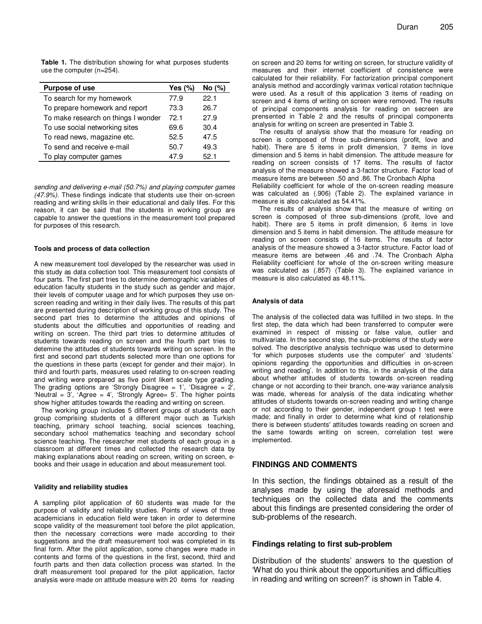**Table 1.** The distribution showing for what purposes students use the computer (n=254).

| <b>Purpose of use</b>               | Yes $(\%)$ | No (%) |
|-------------------------------------|------------|--------|
| To search for my homework           | 77.9       | 22.1   |
| To prepare homework and report      | 73.3       | 26.7   |
| To make research on things I wonder | 72 1       | 27.9   |
| To use social networking sites      | 69.6       | 30.4   |
| To read news, magazine etc.         | 52.5       | 47.5   |
| To send and receive e-mail          | 50.7       | 49.3   |
| To play computer games              | 47.9       | 52.1   |

sending and delivering e-mail (50.7%) and playing computer games (47.9%). These findings indicate that students use their on-screen reading and writing skills in their educational and daily lifes. For this reason, it can be said that the students in working group are capable to answer the questions in the measurement tool prepared for purposes of this research.

#### **Tools and process of data collection**

A new measurement tool developed by the researcher was used in this study as data collection tool. This measurement tool consists of four parts. The first part tries to determine demographic variables of education faculty students in the study such as gender and major, their levels of computer usage and for which purposes they use onscreen reading and writing in their daily lives. The results of this part are presented during description of working group of this study. The second part tries to determine the attitudes and opinions of students about the difficulties and opportunities of reading and writing on screen. The third part tries to determine attitudes of students towards reading on screen and the fourth part tries to detemine the attitudes of students towards writing on screen. In the first and second part students selected more than one options for the questions in these parts (except for gender and their major). In third and fourth parts, measures used relating to on-screen reading and writing were prepared as five point likert scale type grading. The grading options are 'Strongly Disagree = 1', 'Disagree = 2', 'Neutral =  $3'$ , 'Agree =  $4'$ , 'Strongly Agree=  $5'$ . The higher points show higher attitudes towards the reading and writing on screen.

The working group includes 5 different groups of students each group comprising students of a different major such as Turkish teaching, primary school teaching, social sciences teaching, secondary school mathematics teaching and secondary school science teaching. The researcher met students of each group in a classroom at different times and collected the research data by making explanations about reading on screen, writing on screen, ebooks and their usage in education and about measurement tool.

#### **Validity and reliability studies**

A sampling pilot application of 60 students was made for the purpose of validity and reliability studies. Points of views of three academicians in education field were taken in order to determine scope validity of the measurement tool before the pilot application, then the necessary corrections were made according to their suggestions and the draft measurement tool was completed in its final form. After the pilot application, some changes were made in contents and forms of the questions in the first, second, third and fourth parts and then data collection process was started. In the draft measurement tool prepared for the pilot application, factor analysis were made on attitude measure with 20 items for reading

on screen and 20 items for writing on screen, for structure validity of measures and their internet coefficient of consistence were calculated for their reliability. For factorization principal component analysis method and accordingly varimax vertical rotation technique were used. As a result of this application 3 items of reading on screen and 4 items of writing on screen were removed. The results of principal components analysis for reading on secreen are prensented in Table 2 and the results of principal components analysis for writing on screen are presented in Table 3.

The results of analysis show that the measure for reading on screen is composed of three sub-dimensions (profit, love and habit). There are 5 items in profit dimension, 7 items in love dimension and 5 items in habit dimension. The attitude measure for reading on screen consists of 17 items. The results of factor analysis of the measure showed a 3-factor structure. Factor load of measure items are between .50 and .86. The Cronbach Alpha

Reliability coefficient for whole of the on-screen reading measure was calculated as (.906) (Table 2). The explained variance in measure is also calculated as 54.41%.

The results of analysis show that the measure of writing on screen is composed of three sub-dimensions (profit, love and habit). There are 5 items in profit dimension, 6 items in love dimension and 5 items in habit dimension. The attitude measure for reading on screen consists of 16 items. The results of factor analysis of the measure showed a 3-factor structure. Factor load of measure items are between .46 and .74. The Cronbach Alpha Reliability coefficient for whole of the on-screen writing measure was calculated as (.857) (Table 3). The explained variance in measure is also calculated as 48.11%.

#### **Analysis of data**

The analysis of the collected data was fulfilled in two steps. In the first step, the data which had been transferred to computer were examined in respect of missing or false value, outlier and multivariate. In the second step, the sub-problems of the study were solved. The descriptive analysis technique was used to determine 'for which purposes students use the computer' and 'students' opinions regarding the opportunities and difficulties in on-screen writing and reading'. In addition to this, in the analysis of the data about whether attitudes of students towards on-screen reading change or not according to their branch, one-way variance analysis was made, whereas for analysis of the data indicating whether attitudes of students towards on-screen reading and writing change or not according to their gender, independent group t test were made; and finally in order to determine what kind of relationship there is between students' attitudes towards reading on screen and the same towards writing on screen, correlation test were implemented.

### **FINDINGS AND COMMENTS**

In this section, the findings obtained as a result of the analyses made by using the aforesaid methods and techniques on the collected data and the comments about this findings are presented considering the order of sub-problems of the research.

## **Findings relating to first sub-problem**

Distribution of the students' answers to the question of 'What do you think about the opportunities and difficulties in reading and writing on screen?' is shown in Table 4.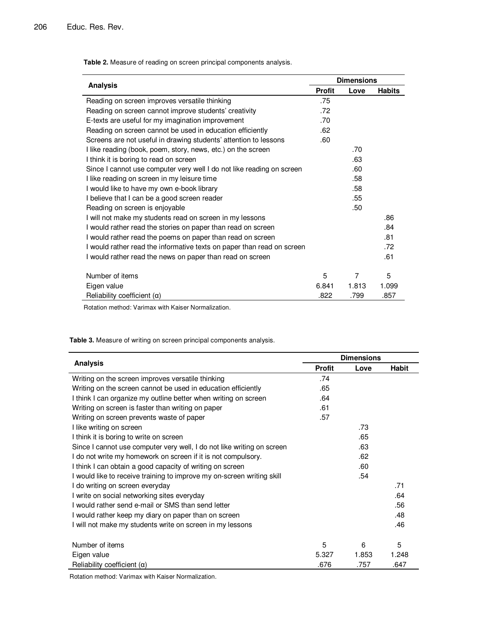**Table 2.** Measure of reading on screen principal components analysis.

|                                                                        |               | <b>Dimensions</b> |               |  |  |  |
|------------------------------------------------------------------------|---------------|-------------------|---------------|--|--|--|
| <b>Analysis</b>                                                        | <b>Profit</b> | Love              | <b>Habits</b> |  |  |  |
| Reading on screen improves versatile thinking                          | .75           |                   |               |  |  |  |
| Reading on screen cannot improve students' creativity                  | .72           |                   |               |  |  |  |
| E-texts are useful for my imagination improvement                      | .70           |                   |               |  |  |  |
| Reading on screen cannot be used in education efficiently              | .62           |                   |               |  |  |  |
| Screens are not useful in drawing students' attention to lessons       | .60           |                   |               |  |  |  |
| I like reading (book, poem, story, news, etc.) on the screen           |               | .70               |               |  |  |  |
| I think it is boring to read on screen                                 |               | .63               |               |  |  |  |
| Since I cannot use computer very well I do not like reading on screen  |               | .60               |               |  |  |  |
| I like reading on screen in my leisure time                            |               | .58               |               |  |  |  |
| I would like to have my own e-book library                             |               | .58               |               |  |  |  |
| I believe that I can be a good screen reader                           |               | .55               |               |  |  |  |
| Reading on screen is enjoyable                                         |               | .50               |               |  |  |  |
| I will not make my students read on screen in my lessons               |               |                   | .86           |  |  |  |
| I would rather read the stories on paper than read on screen           |               |                   | .84           |  |  |  |
| I would rather read the poems on paper than read on screen             |               |                   | .81           |  |  |  |
| I would rather read the informative texts on paper than read on screen |               |                   | .72           |  |  |  |
| I would rather read the news on paper than read on screen              |               |                   | .61           |  |  |  |
| Number of items                                                        | 5             | $\overline{7}$    | 5             |  |  |  |
| Eigen value                                                            | 6.841         | 1.813             | 1.099         |  |  |  |
| Reliability coefficient $(\alpha)$                                     | .822          | .799              | .857          |  |  |  |

Rotation method: Varimax with Kaiser Normalization.

**Table 3.** Measure of writing on screen principal components analysis.

|                                                                        |               | <b>Dimensions</b> |       |
|------------------------------------------------------------------------|---------------|-------------------|-------|
| <b>Analysis</b>                                                        | <b>Profit</b> | Love              | Habit |
| Writing on the screen improves versatile thinking                      | .74           |                   |       |
| Writing on the screen cannot be used in education efficiently          | .65           |                   |       |
| I think I can organize my outline better when writing on screen        | .64           |                   |       |
| Writing on screen is faster than writing on paper                      | .61           |                   |       |
| Writing on screen prevents waste of paper                              | .57           |                   |       |
| I like writing on screen                                               |               | .73               |       |
| I think it is boring to write on screen                                |               | .65               |       |
| Since I cannot use computer very well, I do not like writing on screen |               | .63               |       |
| I do not write my homework on screen if it is not compulsory.          |               | .62               |       |
| I think I can obtain a good capacity of writing on screen              |               | .60               |       |
| I would like to receive training to improve my on-screen writing skill |               | .54               |       |
| I do writing on screen everyday                                        |               |                   | .71   |
| I write on social networking sites everyday                            |               |                   | .64   |
| I would rather send e-mail or SMS than send letter                     |               |                   | .56   |
| I would rather keep my diary on paper than on screen                   |               |                   | .48   |
| I will not make my students write on screen in my lessons              |               |                   | .46   |
| Number of items                                                        | 5             | 6                 | 5     |
| Eigen value                                                            | 5.327         | 1.853             | 1.248 |
| Reliability coefficient $(\alpha)$                                     | .676          | .757              | .647  |

Rotation method: Varimax with Kaiser Normalization.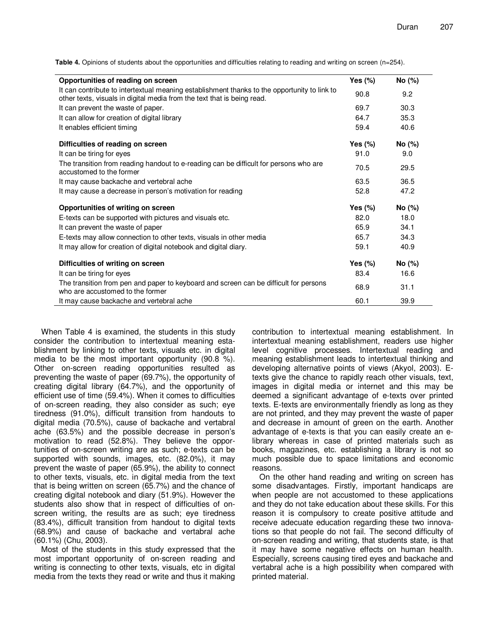**Table 4.** Opinions of students about the opportunities and difficulties relating to reading and writing on screen (n=254).

| Opportunities of reading on screen                                                                                                                                      | Yes $(\%)$ | No (%) |  |
|-------------------------------------------------------------------------------------------------------------------------------------------------------------------------|------------|--------|--|
| It can contribute to intertextual meaning establishment thanks to the opportunity to link to<br>other texts, visuals in digital media from the text that is being read. | 90.8       | 9.2    |  |
| It can prevent the waste of paper.                                                                                                                                      | 69.7       | 30.3   |  |
| It can allow for creation of digital library                                                                                                                            | 64.7       | 35.3   |  |
| It enables efficient timing                                                                                                                                             | 59.4       | 40.6   |  |
| Difficulties of reading on screen                                                                                                                                       | Yes $(\%)$ | No (%) |  |
| It can be tiring for eyes                                                                                                                                               | 91.0       | 9.0    |  |
| The transition from reading handout to e-reading can be difficult for persons who are<br>accustomed to the former                                                       | 70.5       | 29.5   |  |
| It may cause backache and vertebral ache                                                                                                                                | 63.5       | 36.5   |  |
| It may cause a decrease in person's motivation for reading                                                                                                              | 52.8       | 47.2   |  |
| Opportunities of writing on screen                                                                                                                                      | Yes $(\%)$ | No (%) |  |
| E-texts can be supported with pictures and visuals etc.                                                                                                                 | 82.0       | 18.0   |  |
| It can prevent the waste of paper                                                                                                                                       | 65.9       | 34.1   |  |
| E-texts may allow connection to other texts, visuals in other media                                                                                                     | 65.7       | 34.3   |  |
| It may allow for creation of digital notebook and digital diary.                                                                                                        | 59.1       | 40.9   |  |
| Difficulties of writing on screen                                                                                                                                       | Yes $(\%)$ | No (%) |  |
| It can be tiring for eyes                                                                                                                                               | 83.4       | 16.6   |  |
| The transition from pen and paper to keyboard and screen can be difficult for persons<br>who are accustomed to the former                                               | 68.9       | 31.1   |  |
| It may cause backache and vertebral ache                                                                                                                                | 60.1       | 39.9   |  |

When Table 4 is examined, the students in this study consider the contribution to intertextual meaning establishment by linking to other texts, visuals etc. in digital media to be the most important opportunity (90.8 %). Other on-screen reading opportunities resulted as preventing the waste of paper (69.7%), the opportunity of creating digital library (64.7%), and the opportunity of efficient use of time (59.4%). When it comes to difficulties of on-screen reading, they also consider as such; eye tiredness (91.0%), difficult transition from handouts to digital media (70.5%), cause of backache and vertabral ache (63.5%) and the possible decrease in person's motivation to read (52.8%). They believe the opportunities of on-screen writing are as such; e-texts can be supported with sounds, images, etc. (82.0%), it may prevent the waste of paper (65.9%), the ability to connect to other texts, visuals, etc. in digital media from the text that is being written on screen (65.7%) and the chance of creating digital notebook and diary (51.9%). However the students also show that in respect of difficulties of onscreen writing, the results are as such; eye tiredness (83.4%), difficult transition from handout to digital texts (68.9%) and cause of backache and vertabral ache (60.1%) (Chu, 2003).

Most of the students in this study expressed that the most important opportunity of on-screen reading and writing is connecting to other texts, visuals, etc in digital media from the texts they read or write and thus it making contribution to intertextual meaning establishment. In intertextual meaning establishment, readers use higher level cognitive processes. Intertextual reading and meaning establishment leads to intertextual thinking and developing alternative points of views (Akyol, 2003). Etexts give the chance to rapidly reach other visuals, text, images in digital media or internet and this may be deemed a significant advantage of e-texts over printed texts. E-texts are environmentally friendly as long as they are not printed, and they may prevent the waste of paper and decrease in amount of green on the earth. Another advantage of e-texts is that you can easily create an elibrary whereas in case of printed materials such as books, magazines, etc. establishing a library is not so much possible due to space limitations and economic reasons.

On the other hand reading and writing on screen has some disadvantages. Firstly, important handicaps are when people are not accustomed to these applications and they do not take education about these skills. For this reason it is compulsory to create positive attitude and receive adecuate education regarding these two innovations so that people do not fail. The second difficulty of on-screen reading and writing, that students state, is that it may have some negative effects on human health. Especially, screens causing tired eyes and backache and vertabral ache is a high possibility when compared with printed material.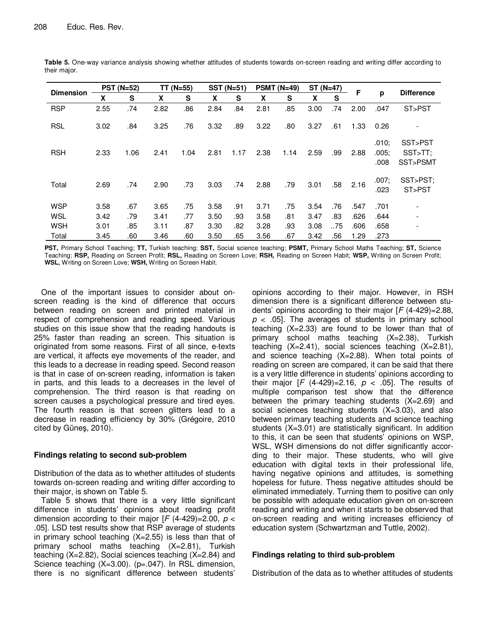|                  |      | <b>PST (N=52)</b> |      | $TT(N=55)$ |      | $SST(N=51)$ |      | $PSMT (N=49)$ | $ST(N=47)$ |     | F    |                        |                                |
|------------------|------|-------------------|------|------------|------|-------------|------|---------------|------------|-----|------|------------------------|--------------------------------|
| <b>Dimension</b> | X    | S                 | X    | S          | X    | S           | X    | S             | X          | S   |      | p                      | <b>Difference</b>              |
| <b>RSP</b>       | 2.55 | .74               | 2.82 | .86        | 2.84 | .84         | 2.81 | .85           | 3.00       | .74 | 2.00 | .047                   | ST>PST                         |
| <b>RSL</b>       | 3.02 | .84               | 3.25 | .76        | 3.32 | .89         | 3.22 | .80           | 3.27       | .61 | 1.33 | 0.26                   |                                |
| <b>RSH</b>       | 2.33 | 1.06              | 2.41 | 1.04       | 2.81 | 1.17        | 2.38 | 1.14          | 2.59       | .99 | 2.88 | .010;<br>.005;<br>.008 | SST>PST<br>SST>TT:<br>SST>PSMT |
| Total            | 2.69 | .74               | 2.90 | .73        | 3.03 | .74         | 2.88 | .79           | 3.01       | .58 | 2.16 | .007:<br>.023          | SST>PST:<br>ST>PST             |
| <b>WSP</b>       | 3.58 | .67               | 3.65 | .75        | 3.58 | .91         | 3.71 | .75           | 3.54       | .76 | .547 | .701                   |                                |
| WSL              | 3.42 | .79               | 3.41 | .77        | 3.50 | .93         | 3.58 | .81           | 3.47       | .83 | .626 | .644                   | $\overline{\phantom{a}}$       |
| <b>WSH</b>       | 3.01 | .85               | 3.11 | .87        | 3.30 | .82         | 3.28 | .93           | 3.08       | .75 | .606 | .658                   |                                |
| Total            | 3.45 | .60               | 3.46 | .60        | 3.50 | .65         | 3.56 | .67           | 3.42       | .56 | 1.29 | .273                   |                                |

**Table 5.** One-way variance analysis showing whether attitudes of students towards on-screen reading and writing differ according to their major.

**PST,** Primary School Teaching; **TT,** Turkish teaching; **SST,** Social science teaching; **PSMT,** Primary School Maths Teaching; **ST,** Science Teaching; **RSP,** Reading on Screen Profit; **RSL,** Reading on Screen Love; **RSH,** Reading on Screen Habit; **WSP,** Writing on Screen Profit; **WSL,** Writing on Screen Love; **WSH,** Writing on Screen Habit.

One of the important issues to consider about onscreen reading is the kind of difference that occurs between reading on screen and printed material in respect of comprehension and reading speed. Various studies on this issue show that the reading handouts is 25% faster than reading an screen. This situation is originated from some reasons. First of all since, e-texts are vertical, it affects eye movements of the reader, and this leads to a decrease in reading speed. Second reason is that in case of on-screen reading, information is taken in parts, and this leads to a decreases in the level of comprehension. The third reason is that reading on screen causes a psychological pressure and tired eyes. The fourth reason is that screen glitters lead to a decrease in reading efficiency by 30% (Grégoire, 2010 cited by Güneş, 2010).

# **Findings relating to second sub-problem**

Distribution of the data as to whether attitudes of students towards on-screen reading and writing differ according to their major, is shown on Table 5.

Table 5 shows that there is a very little significant difference in students' opinions about reading profit dimension according to their major  $[F (4-429)=2.00, p <$ .05]. LSD test results show that RSP average of students in primary school teaching (X=2.55) is less than that of primary school maths teaching (X=2.81), Turkish teaching (X=2.82), Social sciences teaching (X=2.84) and Science teaching (X=3.00). (p=.047). In RSL dimension, there is no significant difference between students'

opinions according to their major. However, in RSH dimension there is a significant difference between students' opinions according to their major  $[F (4-429)=2.88]$ ,  $p < .05$ ]. The averages of students in primary school teaching (X=2.33) are found to be lower than that of primary school maths teaching (X=2.38), Turkish teaching (X=2.41), social sciences teaching (X=2.81), and science teaching (X=2.88). When total points of reading on screen are compared, it can be said that there is a very little difference in students' opinions according to their major  $[F (4-429)=2.16, p < .05]$ . The results of multiple comparison test show that the difference between the primary teaching students (X=2.69) and social sciences teaching students (X=3.03), and also between primary teaching students and science teaching students (X=3.01) are statistically significant. In addition to this, it can be seen that students' opinions on WSP, WSL, WSH dimensions do not differ significantly according to their major. These students, who will give education with digital texts in their professional life, having negative opinions and attitudes, is something hopeless for future. Thess negative attitudes should be eliminated immediately. Turning them to positive can only be possible with adequate education given on on-screen reading and writing and when it starts to be observed that on-screen reading and writing increases efficiency of education system (Schwartzman and Tuttle, 2002).

# **Findings relating to third sub-problem**

Distribution of the data as to whether attitudes of students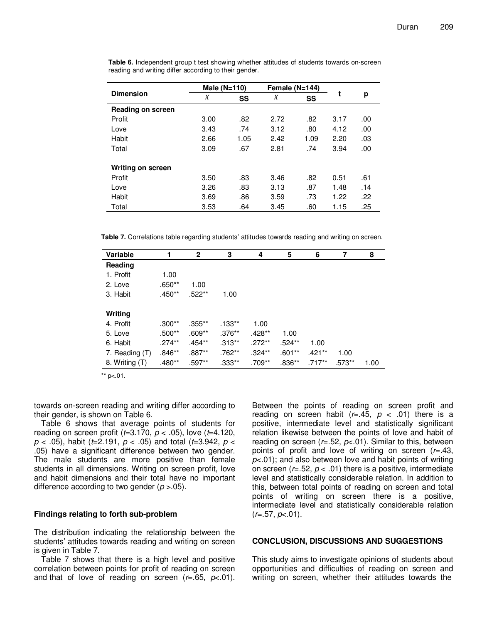|                   | Male $(N=110)$ |      | Female $(N=144)$ |      |      |     |
|-------------------|----------------|------|------------------|------|------|-----|
| <b>Dimension</b>  | X              | SS   | X                | SS   | t    | р   |
| Reading on screen |                |      |                  |      |      |     |
| Profit            | 3.00           | .82  | 2.72             | .82  | 3.17 | .00 |
| Love              | 3.43           | .74  | 3.12             | .80  | 4.12 | .00 |
| Habit             | 2.66           | 1.05 | 2.42             | 1.09 | 2.20 | .03 |
| Total             | 3.09           | .67  | 2.81             | .74  | 3.94 | .00 |
|                   |                |      |                  |      |      |     |
| Writing on screen |                |      |                  |      |      |     |
| Profit            | 3.50           | .83  | 3.46             | .82  | 0.51 | .61 |
| Love              | 3.26           | .83  | 3.13             | .87  | 1.48 | .14 |
| <b>Habit</b>      | 3.69           | .86  | 3.59             | .73  | 1.22 | .22 |
| Total             | 3.53           | .64  | 3.45             | .60  | 1.15 | .25 |

**Table 6.** Independent group t test showing whether attitudes of students towards on-screen reading and writing differ according to their gender.

**Table 7.** Correlations table regarding students' attitudes towards reading and writing on screen.

| Variable       |           | $\mathbf{2}$ | 3         | 4         | 5        | 6        | 7      | 8    |
|----------------|-----------|--------------|-----------|-----------|----------|----------|--------|------|
| Reading        |           |              |           |           |          |          |        |      |
| 1. Profit      | 1.00      |              |           |           |          |          |        |      |
| 2. Love        | .650**    | 1.00         |           |           |          |          |        |      |
| 3. Habit       | .450**    | .522**       | 1.00      |           |          |          |        |      |
|                |           |              |           |           |          |          |        |      |
| Writing        |           |              |           |           |          |          |        |      |
| 4. Profit      | .300**    | $.355***$    | $.133***$ | 1.00      |          |          |        |      |
| 5. Love        | $.500**$  | .609**       | $.376***$ | $.428**$  | 1.00     |          |        |      |
| 6. Habit       | $.274***$ | $.454**$     | $.313**$  | $.272***$ | $.524**$ | 1.00     |        |      |
| 7. Reading (T) | .846**    | .887**       | $.762***$ | $.324**$  | $.601**$ | $.421**$ | 1.00   |      |
| 8. Writing (T) | $.480**$  | .597**       | .333**    | .709**    | $.836**$ | $.717**$ | .573** | 1.00 |

\*\*  $p<.01$ .

towards on-screen reading and writing differ according to their gender, is shown on Table 6.

Table 6 shows that average points of students for reading on screen profit ( $t=3.170$ ,  $p < .05$ ), love ( $t=4.120$ ,  $p$  < .05), habit (t=2.191,  $p$  < .05) and total (t=3.942,  $p$  < .05) have a significant difference between two gender. The male students are more positive than female students in all dimensions. Writing on screen profit, love and habit dimensions and their total have no important difference according to two gender ( $p > 0.05$ ).

## **Findings relating to forth sub-problem**

The distribution indicating the relationship between the students' attitudes towards reading and writing on screen is given in Table 7.

Table 7 shows that there is a high level and positive correlation between points for profit of reading on screen and that of love of reading on screen ( $r = .65$ ,  $p < .01$ ).

Between the points of reading on screen profit and reading on screen habit  $(r=.45, p < .01)$  there is a positive, intermediate level and statistically significant relation likewise between the points of love and habit of reading on screen ( $r=0.52$ ,  $p<0.1$ ). Similar to this, between points of profit and love of writing on screen  $(r=43,$  $p<.01$ ; and also between love and habit points of writing on screen ( $r = .52$ ,  $p < .01$ ) there is a positive, intermediate level and statistically considerable relation. In addition to this, between total points of reading on screen and total points of writing on screen there is a positive, intermediate level and statistically considerable relation  $(r=.57, p-.01).$ 

## **CONCLUSION, DISCUSSIONS AND SUGGESTIONS**

This study aims to investigate opinions of students about opportunities and difficulties of reading on screen and writing on screen, whether their attitudes towards the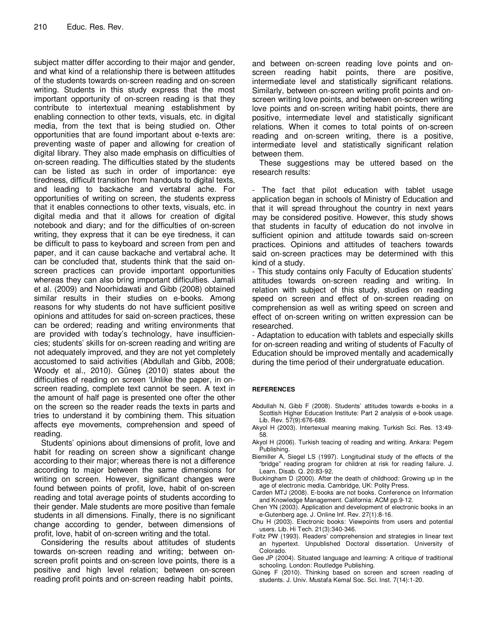subject matter differ according to their major and gender, and what kind of a relationship there is between attitudes of the students towards on-screen reading and on-screen writing. Students in this study express that the most important opportunity of on-screen reading is that they contribute to intertextual meaning establishment by enabling connection to other texts, visuals, etc. in digital media, from the text that is being studied on. Other opportunities that are found important about e-texts are: preventing waste of paper and allowing for creation of digital library. They also made emphasis on difficulties of on-screen reading. The difficulties stated by the students can be listed as such in order of importance: eye tiredness, difficult transition from handouts to digital texts, and leading to backache and vertabral ache. For opportunities of writing on screen, the students express that it enables connections to other texts, visuals, etc. in digital media and that it allows for creation of digital notebook and diary; and for the difficulties of on-screen writing, they express that it can be eye tiredness, it can be difficult to pass to keyboard and screen from pen and paper, and it can cause backache and vertabral ache. It can be concluded that, students think that the said onscreen practices can provide important opportunities whereas they can also bring important difficulties. Jamali et al. (2009) and Noorhidawati and Gibb (2008) obtained similar results in their studies on e-books. Among reasons for why students do not have sufficient positive opinions and attitudes for said on-screen practices, these can be ordered; reading and writing environments that are provided with today's technology, have insufficiencies; students' skills for on-screen reading and writing are not adequately improved, and they are not yet completely accustomed to said activities (Abdullah and Gibb, 2008; Woody et al., 2010). Güneş (2010) states about the difficulties of reading on screen 'Unlike the paper, in onscreen reading, complete text cannot be seen. A text in the amount of half page is presented one ofter the other on the screen so the reader reads the texts in parts and tries to understand it by combining them. This situation affects eye movements, comprehension and speed of reading.

Students' opinions about dimensions of profit, love and habit for reading on screen show a significant change according to their major; whereas there is not a difference according to major between the same dimensions for writing on screen. However, significant changes were found between points of profit, love, habit of on-screen reading and total average points of students according to their gender. Male students are more positive than female students in all dimensions. Finally, there is no significant change according to gender, between dimensions of profit, love, habit of on-screen writing and the total.

Considering the results about attitudes of students towards on-screen reading and writing; between onscreen profit points and on-screen love points, there is a positive and high level relation; between on-screen reading profit points and on-screen reading habit points,

and between on-screen reading love points and onscreen reading habit points, there are positive, intermediate level and statistically significant relations. Similarly, between on-screen writing profit points and onscreen writing love points, and between on-screen writing love points and on-screen writing habit points, there are positive, intermediate level and statistically significant relations. When it comes to total points of on-screen reading and on-screen writing, there is a positive, intermediate level and statistically significant relation between them.

These suggestions may be uttered based on the research results:

The fact that pilot education with tablet usage application began in schools of Ministry of Education and that it will spread throughout the country in next years may be considered positive. However, this study shows that students in faculty of education do not involve in sufficient opinion and attitude towards said on-screen practices. Opinions and attitudes of teachers towards said on-screen practices may be determined with this kind of a study.

- This study contains only Faculty of Education students' attitudes towards on-screen reading and writing. In relation with subject of this study, studies on reading speed on screen and effect of on-screen reading on comprehension as well as writing speed on screen and effect of on-screen writing on written expression can be researched.

- Adaptation to education with tablets and especially skills for on-screen reading and writing of students of Faculty of Education should be improved mentally and academically during the time period of their undergratuate education.

## **REFERENCES**

- Abdullah N, Gibb F (2008). Students' attitudes towards e-books in a Scottish Higher Education Institute: Part 2 analysis of e-book usage. Lib. Rev. 57(9):676-689.
- Akyol H (2003). Intertexual meaning making. Turkish Sci. Res. 13:49- 58.
- Akyol H (2006). Turkish teacing of reading and writing. Ankara: Pegem Publishing.
- Biemiller A, Siegel LS (1997). Longitudinal study of the effects of the "bridge" reading program for children at risk for reading failure. J. Learn. Disab. Q. 20:83-92.
- Buckingham D (2000). After the death of childhood: Growing up in the age of electronic media. Cambridge, UK: Polity Press.
- Carden MTJ (2008). E-books are not books. Conference on Information and Knowledge Management. California: ACM pp.9-12.
- Chen YN (2003). Application and development of electronic books in an e-Gutenberg age. J. Online Inf. Rev. 27(1):8-16.
- Chu H (2003). Electronic books: Viewpoints from users and potential users. Lib. Hi Tech. 21(3):340-346.
- Foltz PW (1993). Readers' comprehension and strategies in linear text an hypertext. Unpublished Doctoral dissertation. University of Colorado.
- Gee JP (2004). Situated language and learning: A critique of traditional schooling. London: Routledge Publishing.
- Güneş F (2010). Thinking based on screen and screen reading of students. J. Univ. Mustafa Kemal Soc. Sci. Inst. 7(14):1-20.